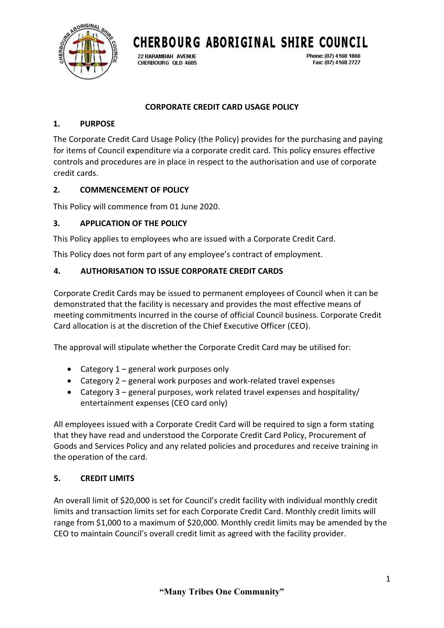

Phone: (07) 4168 1866

Fax: (07) 4168 2727

22 BARAMBAH AVENUE CHERBOURG OLD 4605

## **CORPORATE CREDIT CARD USAGE POLICY**

#### **1. PURPOSE**

The Corporate Credit Card Usage Policy (the Policy) provides for the purchasing and paying for items of Council expenditure via a corporate credit card. This policy ensures effective controls and procedures are in place in respect to the authorisation and use of corporate credit cards.

### **2. COMMENCEMENT OF POLICY**

This Policy will commence from 01 June 2020.

### **3. APPLICATION OF THE POLICY**

This Policy applies to employees who are issued with a Corporate Credit Card.

This Policy does not form part of any employee's contract of employment.

### **4. AUTHORISATION TO ISSUE CORPORATE CREDIT CARDS**

Corporate Credit Cards may be issued to permanent employees of Council when it can be demonstrated that the facility is necessary and provides the most effective means of meeting commitments incurred in the course of official Council business. Corporate Credit Card allocation is at the discretion of the Chief Executive Officer (CEO).

The approval will stipulate whether the Corporate Credit Card may be utilised for:

- Category 1 general work purposes only
- Category 2 general work purposes and work-related travel expenses
- Category 3 general purposes, work related travel expenses and hospitality/ entertainment expenses (CEO card only)

All employees issued with a Corporate Credit Card will be required to sign a form stating that they have read and understood the Corporate Credit Card Policy, Procurement of Goods and Services Policy and any related policies and procedures and receive training in the operation of the card.

### **5. CREDIT LIMITS**

An overall limit of \$20,000 is set for Council's credit facility with individual monthly credit limits and transaction limits set for each Corporate Credit Card. Monthly credit limits will range from \$1,000 to a maximum of \$20,000. Monthly credit limits may be amended by the CEO to maintain Council's overall credit limit as agreed with the facility provider.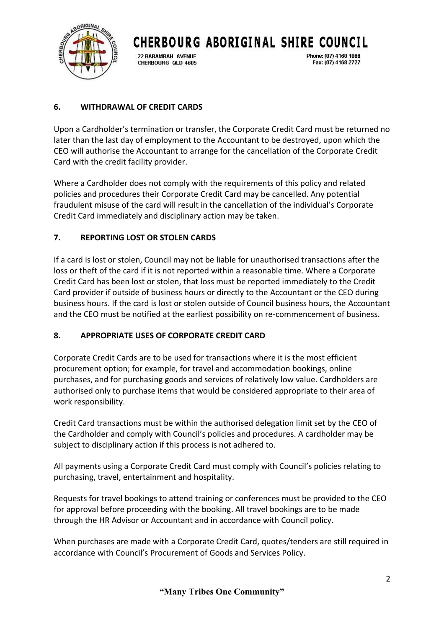

22 BARAMBAH AVENUE CHERBOURG OLD 4605 Phone: (07) 4168 1866 Fax: (07) 4168 2727

# **6. WITHDRAWAL OF CREDIT CARDS**

Upon a Cardholder's termination or transfer, the Corporate Credit Card must be returned no later than the last day of employment to the Accountant to be destroyed, upon which the CEO will authorise the Accountant to arrange for the cancellation of the Corporate Credit Card with the credit facility provider.

Where a Cardholder does not comply with the requirements of this policy and related policies and procedures their Corporate Credit Card may be cancelled. Any potential fraudulent misuse of the card will result in the cancellation of the individual's Corporate Credit Card immediately and disciplinary action may be taken.

## **7. REPORTING LOST OR STOLEN CARDS**

If a card is lost or stolen, Council may not be liable for unauthorised transactions after the loss or theft of the card if it is not reported within a reasonable time. Where a Corporate Credit Card has been lost or stolen, that loss must be reported immediately to the Credit Card provider if outside of business hours or directly to the Accountant or the CEO during business hours. If the card is lost or stolen outside of Council business hours, the Accountant and the CEO must be notified at the earliest possibility on re-commencement of business.

## **8. APPROPRIATE USES OF CORPORATE CREDIT CARD**

Corporate Credit Cards are to be used for transactions where it is the most efficient procurement option; for example, for travel and accommodation bookings, online purchases, and for purchasing goods and services of relatively low value. Cardholders are authorised only to purchase items that would be considered appropriate to their area of work responsibility.

Credit Card transactions must be within the authorised delegation limit set by the CEO of the Cardholder and comply with Council's policies and procedures. A cardholder may be subject to disciplinary action if this process is not adhered to.

All payments using a Corporate Credit Card must comply with Council's policies relating to purchasing, travel, entertainment and hospitality.

Requests for travel bookings to attend training or conferences must be provided to the CEO for approval before proceeding with the booking. All travel bookings are to be made through the HR Advisor or Accountant and in accordance with Council policy.

When purchases are made with a Corporate Credit Card, quotes/tenders are still required in accordance with Council's Procurement of Goods and Services Policy.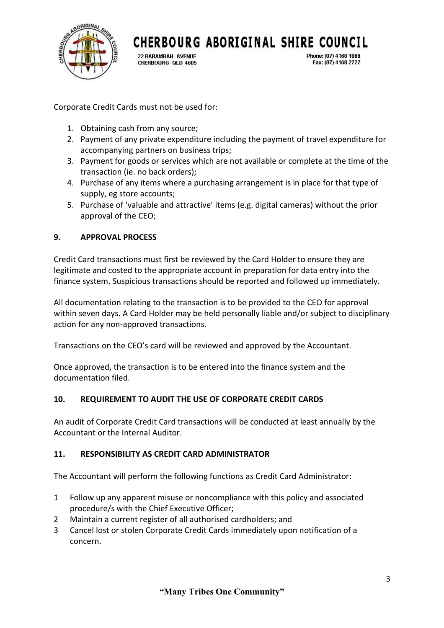

22 BARAMBAH AVENUE CHERBOURG OLD 4605 Phone: (07) 4168 1866 Fax: (07) 4168 2727

Corporate Credit Cards must not be used for:

- 1. Obtaining cash from any source;
- 2. Payment of any private expenditure including the payment of travel expenditure for accompanying partners on business trips;
- 3. Payment for goods or services which are not available or complete at the time of the transaction (ie. no back orders);
- 4. Purchase of any items where a purchasing arrangement is in place for that type of supply, eg store accounts;
- 5. Purchase of 'valuable and attractive' items (e.g. digital cameras) without the prior approval of the CEO;

# **9. APPROVAL PROCESS**

Credit Card transactions must first be reviewed by the Card Holder to ensure they are legitimate and costed to the appropriate account in preparation for data entry into the finance system. Suspicious transactions should be reported and followed up immediately.

All documentation relating to the transaction is to be provided to the CEO for approval within seven days. A Card Holder may be held personally liable and/or subject to disciplinary action for any non-approved transactions.

Transactions on the CEO's card will be reviewed and approved by the Accountant.

Once approved, the transaction is to be entered into the finance system and the documentation filed.

## **10. REQUIREMENT TO AUDIT THE USE OF CORPORATE CREDIT CARDS**

An audit of Corporate Credit Card transactions will be conducted at least annually by the Accountant or the Internal Auditor.

## **11. RESPONSIBILITY AS CREDIT CARD ADMINISTRATOR**

The Accountant will perform the following functions as Credit Card Administrator:

- 1 Follow up any apparent misuse or noncompliance with this policy and associated procedure/s with the Chief Executive Officer;
- 2 Maintain a current register of all authorised cardholders; and
- 3 Cancel lost or stolen Corporate Credit Cards immediately upon notification of a concern.